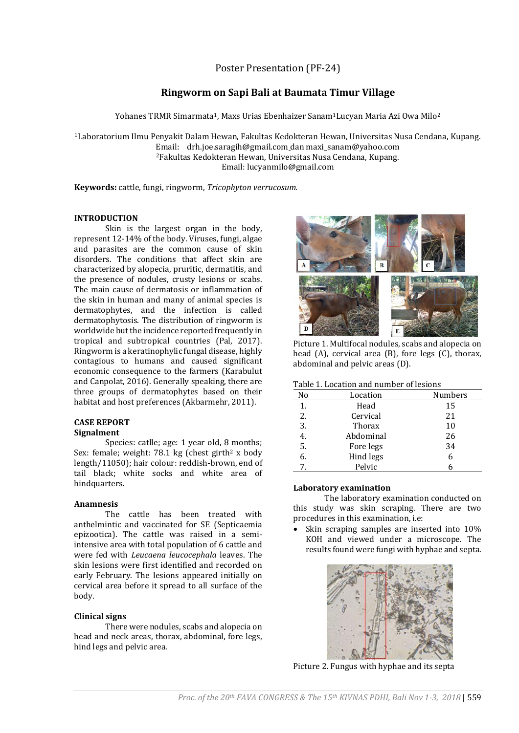Poster Presentation (PF-24)

# **Ringworm on Sapi Bali at Baumata Timur Village**

Yohanes TRMR Simarmata<sup>1</sup>, Maxs Urias Ebenhaizer Sanam<sup>1</sup>Lucyan Maria Azi Owa Milo<sup>2</sup>

<sup>1</sup>Laboratorium Ilmu Penyakit Dalam Hewan, Fakultas Kedokteran Hewan, Universitas Nusa Cendana, Kupang. Email: drh.joe.saragih@gmail.com dan maxi\_sanam@yahoo.com <sup>2</sup>Fakultas Kedokteran Hewan, Universitas Nusa Cendana, Kupang. Email: lucyanmilo@gmail.com

**Keywords:** cattle, fungi, ringworm, *Tricophyton verrucosum.*

# **INTRODUCTION**

Skin is the largest organ in the body, represent 12-14% of the body. Viruses, fungi, algae and parasites are the common cause of skin disorders. The conditions that affect skin are characterized by alopecia, pruritic, dermatitis, and the presence of nodules, crusty lesions or scabs. The main cause of dermatosis or inflammation of the skin in human and many of animal species is dermatophytes, and the infection is called dermatophytosis. The distribution of ringworm is worldwide but the incidence reported frequently in tropical and subtropical countries (Pal, 2017). Ringworm is a keratinophylic fungal disease, highly contagious to humans and caused significant economic consequence to the farmers (Karabulut and Canpolat, 2016). Generally speaking, there are three groups of dermatophytes based on their habitat and host preferences (Akbarmehr, 2011).

#### **CASE REPORT Signalment**

Species: catlle; age: 1 year old, 8 months; Sex: female; weight: 78.1 kg (chest girth<sup>2</sup> x body) length/11050); hair colour: reddish-brown, end of tail black; white socks and white area of hindquarters.

# **Anamnesis**

The cattle has been treated with anthelmintic and vaccinated for SE (Septicaemia epizootica). The cattle was raised in a semiintensive area with total population of 6 cattle and were fed with *Leucaena leucocephala* leaves. The skin lesions were first identified and recorded on early February. The lesions appeared initially on cervical area before it spread to all surface of the body.

# **Clinical signs**

There were nodules, scabs and alopecia on head and neck areas, thorax, abdominal, fore legs, hind legs and pelvic area.



Picture 1. Multifocal nodules, scabs and alopecia on head (A), cervical area (B), fore legs (C), thorax, abdominal and pelvic areas (D).

### Table 1. Location and number of lesions

| No | Location      | <b>Numbers</b> |
|----|---------------|----------------|
| 1. | Head          | 15             |
| 2. | Cervical      | 21             |
| 3. | <b>Thorax</b> | 10             |
| 4. | Abdominal     | 26             |
| 5. | Fore legs     | 34             |
| 6. | Hind legs     | 6              |
| 7  | Pelvic        | ĥ              |

# **Laboratory examination**

The laboratory examination conducted on this study was skin scraping. There are two procedures in this examination, i.e:

• Skin scraping samples are inserted into 10% KOH and viewed under a microscope. The results found were fungi with hyphae and septa.



Picture 2. Fungus with hyphae and its septa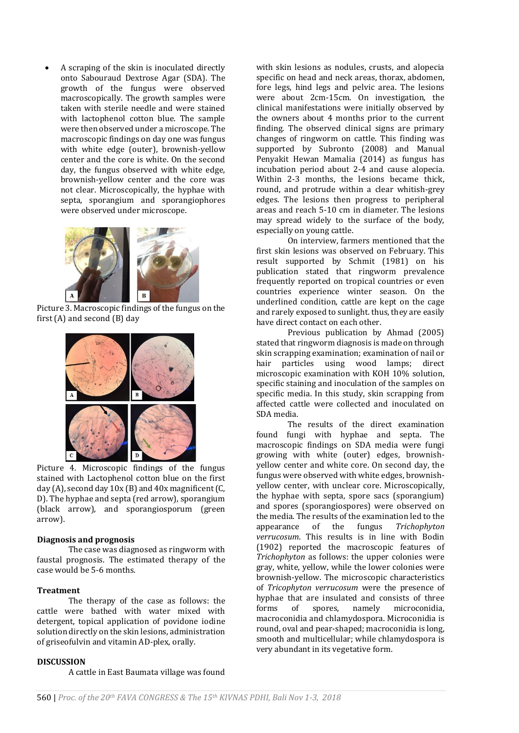A scraping of the skin is inoculated directly onto Sabouraud Dextrose Agar (SDA). The growth of the fungus were observed macroscopically. The growth samples were taken with sterile needle and were stained with lactophenol cotton blue. The sample were then observed under a microscope. The macroscopic findings on day one was fungus with white edge (outer), brownish-yellow center and the core is white. On the second day, the fungus observed with white edge, brownish-yellow center and the core was not clear. Microscopically, the hyphae with septa, sporangium and sporangiophores were observed under microscope.



Picture 3. Macroscopic findings of the fungus on the first (A) and second (B) day



Picture 4. Microscopic findings of the fungus stained with Lactophenol cotton blue on the first day (A), second day 10x (B) and 40x magnificent (C, D). The hyphae and septa (red arrow), sporangium (black arrow), and sporangiosporum (green arrow).

### **Diagnosis and prognosis**

The case was diagnosed as ringworm with faustal prognosis. The estimated therapy of the case would be 5-6 months.

#### **Treatment**

The therapy of the case as follows: the cattle were bathed with water mixed with detergent, topical application of povidone iodine solution directly on the skin lesions, administration of griseofulvin and vitamin AD-plex, orally.

### **DISCUSSION**

A cattle in East Baumata village was found

with skin lesions as nodules, crusts, and alopecia specific on head and neck areas, thorax, abdomen, fore legs, hind legs and pelvic area. The lesions were about 2cm-15cm. On investigation, the clinical manifestations were initially observed by the owners about 4 months prior to the current finding. The observed clinical signs are primary changes of ringworm on cattle. This finding was supported by Subronto (2008) and Manual Penyakit Hewan Mamalia (2014) as fungus has incubation period about 2-4 and cause alopecia. Within 2-3 months, the lesions became thick, round, and protrude within a clear whitish-grey edges. The lesions then progress to peripheral areas and reach 5-10 cm in diameter. The lesions may spread widely to the surface of the body, especially on young cattle.

On interview, farmers mentioned that the first skin lesions was observed on February. This result supported by Schmit (1981) on his publication stated that ringworm prevalence frequently reported on tropical countries or even countries experience winter season. On the underlined condition, cattle are kept on the cage and rarely exposed to sunlight. thus, they are easily have direct contact on each other.

Previous publication by Ahmad (2005) stated that ringworm diagnosis is made on through skin scrapping examination; examination of nail or hair particles using wood lamps; direct microscopic examination with KOH 10% solution, specific staining and inoculation of the samples on specific media. In this study, skin scrapping from affected cattle were collected and inoculated on SDA media.

The results of the direct examination found fungi with hyphae and septa. The macroscopic findings on SDA media were fungi growing with white (outer) edges, brownishyellow center and white core. On second day, the fungus were observed with white edges, brownishyellow center, with unclear core. Microscopically, the hyphae with septa, spore sacs (sporangium) and spores (sporangiospores) were observed on the media. The results of the examination led to the appearance of the fungus *Trichophyton verrucosum*. This results is in line with Bodin (1902) reported the macroscopic features of *Trichophyton* as follows: the upper colonies were gray, white, yellow, while the lower colonies were brownish-yellow. The microscopic characteristics of *Tricophyton verrucosum* were the presence of hyphae that are insulated and consists of three forms of spores, namely microconidia, macroconidia and chlamydospora. Microconidia is round, oval and pear-shaped; macroconidia is long, smooth and multicellular; while chlamydospora is very abundant in its vegetative form.